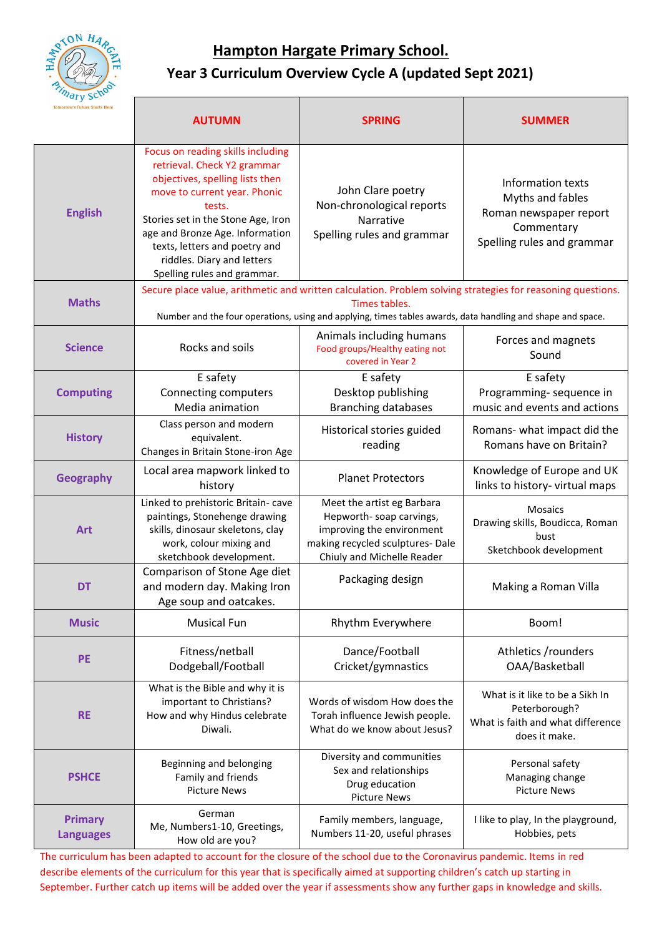

### **Year 3 Curriculum Overview Cycle A (updated Sept 2021)**

| quy<br><b>Tomorrow's Future Starts Here</b> | <b>AUTUMN</b>                                                                                                                                                                                                                                                                                                        | <b>SPRING</b>                                                                                                                                        | <b>SUMMER</b>                                                                                               |
|---------------------------------------------|----------------------------------------------------------------------------------------------------------------------------------------------------------------------------------------------------------------------------------------------------------------------------------------------------------------------|------------------------------------------------------------------------------------------------------------------------------------------------------|-------------------------------------------------------------------------------------------------------------|
| <b>English</b>                              | Focus on reading skills including<br>retrieval. Check Y2 grammar<br>objectives, spelling lists then<br>move to current year. Phonic<br>tests.<br>Stories set in the Stone Age, Iron<br>age and Bronze Age. Information<br>texts, letters and poetry and<br>riddles. Diary and letters<br>Spelling rules and grammar. | John Clare poetry<br>Non-chronological reports<br>Narrative<br>Spelling rules and grammar                                                            | Information texts<br>Myths and fables<br>Roman newspaper report<br>Commentary<br>Spelling rules and grammar |
| <b>Maths</b>                                | Secure place value, arithmetic and written calculation. Problem solving strategies for reasoning questions.<br>Times tables.<br>Number and the four operations, using and applying, times tables awards, data handling and shape and space.                                                                          |                                                                                                                                                      |                                                                                                             |
| <b>Science</b>                              | Rocks and soils                                                                                                                                                                                                                                                                                                      | Animals including humans<br>Food groups/Healthy eating not<br>covered in Year 2                                                                      | Forces and magnets<br>Sound                                                                                 |
| <b>Computing</b>                            | E safety<br>Connecting computers<br>Media animation                                                                                                                                                                                                                                                                  | E safety<br>Desktop publishing<br><b>Branching databases</b>                                                                                         | E safety<br>Programming-sequence in<br>music and events and actions                                         |
| <b>History</b>                              | Class person and modern<br>equivalent.<br>Changes in Britain Stone-iron Age                                                                                                                                                                                                                                          | Historical stories guided<br>reading                                                                                                                 | Romans- what impact did the<br>Romans have on Britain?                                                      |
| <b>Geography</b>                            | Local area mapwork linked to<br>history                                                                                                                                                                                                                                                                              | <b>Planet Protectors</b>                                                                                                                             | Knowledge of Europe and UK<br>links to history- virtual maps                                                |
| <b>Art</b>                                  | Linked to prehistoric Britain- cave<br>paintings, Stonehenge drawing<br>skills, dinosaur skeletons, clay<br>work, colour mixing and<br>sketchbook development.                                                                                                                                                       | Meet the artist eg Barbara<br>Hepworth-soap carvings,<br>improving the environment<br>making recycled sculptures- Dale<br>Chiuly and Michelle Reader | Mosaics<br>Drawing skills, Boudicca, Roman<br>bust<br>Sketchbook development                                |
| <b>DT</b>                                   | Comparison of Stone Age diet<br>and modern day. Making Iron<br>Age soup and oatcakes.                                                                                                                                                                                                                                | Packaging design                                                                                                                                     | Making a Roman Villa                                                                                        |
| <b>Music</b>                                | <b>Musical Fun</b>                                                                                                                                                                                                                                                                                                   | Rhythm Everywhere                                                                                                                                    | Boom!                                                                                                       |
| <b>PE</b>                                   | Fitness/netball<br>Dodgeball/Football                                                                                                                                                                                                                                                                                | Dance/Football<br>Cricket/gymnastics                                                                                                                 | Athletics /rounders<br>OAA/Basketball                                                                       |
| <b>RE</b>                                   | What is the Bible and why it is<br>important to Christians?<br>How and why Hindus celebrate<br>Diwali.                                                                                                                                                                                                               | Words of wisdom How does the<br>Torah influence Jewish people.<br>What do we know about Jesus?                                                       | What is it like to be a Sikh In<br>Peterborough?<br>What is faith and what difference<br>does it make.      |
| <b>PSHCE</b>                                | Beginning and belonging<br>Family and friends<br><b>Picture News</b>                                                                                                                                                                                                                                                 | Diversity and communities<br>Sex and relationships<br>Drug education<br><b>Picture News</b>                                                          | Personal safety<br>Managing change<br><b>Picture News</b>                                                   |
| <b>Primary</b><br><b>Languages</b>          | German<br>Me, Numbers1-10, Greetings,<br>How old are you?                                                                                                                                                                                                                                                            | Family members, language,<br>Numbers 11-20, useful phrases                                                                                           | I like to play, In the playground,<br>Hobbies, pets                                                         |

The curriculum has been adapted to account for the closure of the school due to the Coronavirus pandemic. Items in red describe elements of the curriculum for this year that is specifically aimed at supporting children's catch up starting in September. Further catch up items will be added over the year if assessments show any further gaps in knowledge and skills.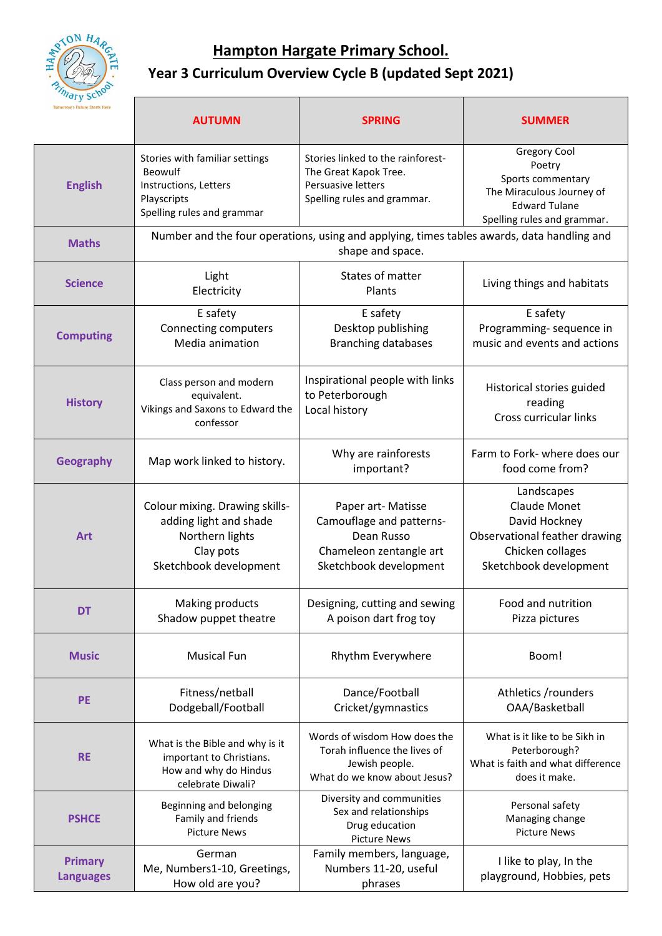

## **Year 3 Curriculum Overview Cycle B (updated Sept 2021)**

| <b>Tomorrow's Future Starts Here</b> | <b>AUTUMN</b>                                                                                                      | <b>SPRING</b>                                                                                                     | <b>SUMMER</b>                                                                                                                     |  |
|--------------------------------------|--------------------------------------------------------------------------------------------------------------------|-------------------------------------------------------------------------------------------------------------------|-----------------------------------------------------------------------------------------------------------------------------------|--|
| <b>English</b>                       | Stories with familiar settings<br>Beowulf<br>Instructions, Letters<br>Playscripts<br>Spelling rules and grammar    | Stories linked to the rainforest-<br>The Great Kapok Tree.<br>Persuasive letters<br>Spelling rules and grammar.   | Gregory Cool<br>Poetry<br>Sports commentary<br>The Miraculous Journey of<br><b>Edward Tulane</b><br>Spelling rules and grammar.   |  |
| <b>Maths</b>                         | Number and the four operations, using and applying, times tables awards, data handling and<br>shape and space.     |                                                                                                                   |                                                                                                                                   |  |
| <b>Science</b>                       | Light<br>Electricity                                                                                               | States of matter<br>Plants                                                                                        | Living things and habitats                                                                                                        |  |
| <b>Computing</b>                     | E safety<br>Connecting computers<br>Media animation                                                                | E safety<br>Desktop publishing<br><b>Branching databases</b>                                                      | E safety<br>Programming-sequence in<br>music and events and actions                                                               |  |
| <b>History</b>                       | Class person and modern<br>equivalent.<br>Vikings and Saxons to Edward the<br>confessor                            | Inspirational people with links<br>to Peterborough<br>Local history                                               | Historical stories guided<br>reading<br>Cross curricular links                                                                    |  |
| <b>Geography</b>                     | Map work linked to history.                                                                                        | Why are rainforests<br>important?                                                                                 | Farm to Fork- where does our<br>food come from?                                                                                   |  |
| <b>Art</b>                           | Colour mixing. Drawing skills-<br>adding light and shade<br>Northern lights<br>Clay pots<br>Sketchbook development | Paper art- Matisse<br>Camouflage and patterns-<br>Dean Russo<br>Chameleon zentangle art<br>Sketchbook development | Landscapes<br><b>Claude Monet</b><br>David Hockney<br>Observational feather drawing<br>Chicken collages<br>Sketchbook development |  |
| <b>DT</b>                            | Making products<br>Shadow puppet theatre                                                                           | Designing, cutting and sewing<br>A poison dart frog toy                                                           | Food and nutrition<br>Pizza pictures                                                                                              |  |
| <b>Music</b>                         | <b>Musical Fun</b>                                                                                                 | Rhythm Everywhere                                                                                                 | Boom!                                                                                                                             |  |
| PE                                   | Fitness/netball<br>Dodgeball/Football                                                                              | Dance/Football<br>Cricket/gymnastics                                                                              | Athletics /rounders<br>OAA/Basketball                                                                                             |  |
| <b>RE</b>                            | What is the Bible and why is it<br>important to Christians.<br>How and why do Hindus<br>celebrate Diwali?          | Words of wisdom How does the<br>Torah influence the lives of<br>Jewish people.<br>What do we know about Jesus?    | What is it like to be Sikh in<br>Peterborough?<br>What is faith and what difference<br>does it make.                              |  |
| <b>PSHCE</b>                         | Beginning and belonging<br>Family and friends<br><b>Picture News</b>                                               | Diversity and communities<br>Sex and relationships<br>Drug education<br><b>Picture News</b>                       | Personal safety<br>Managing change<br><b>Picture News</b>                                                                         |  |
| <b>Primary</b><br><b>Languages</b>   | German<br>Me, Numbers1-10, Greetings,<br>How old are you?                                                          | Family members, language,<br>Numbers 11-20, useful<br>phrases                                                     | I like to play, In the<br>playground, Hobbies, pets                                                                               |  |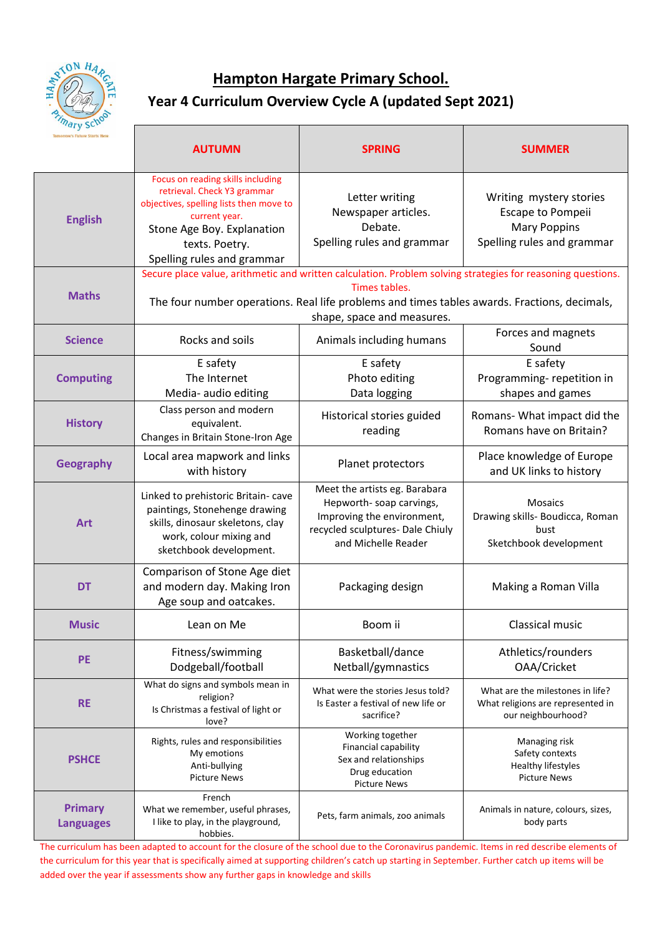

#### **Year 4 Curriculum Overview Cycle A (updated Sept 2021)**

| "ary Sc"<br><b>Comorrow's Future Starts Here</b> | <b>AUTUMN</b>                                                                                                                                                                                                                                              | <b>SPRING</b>                                                                                                                                     | <b>SUMMER</b>                                                                                     |  |
|--------------------------------------------------|------------------------------------------------------------------------------------------------------------------------------------------------------------------------------------------------------------------------------------------------------------|---------------------------------------------------------------------------------------------------------------------------------------------------|---------------------------------------------------------------------------------------------------|--|
| <b>English</b>                                   | Focus on reading skills including<br>retrieval. Check Y3 grammar<br>objectives, spelling lists then move to<br>current year.<br>Stone Age Boy. Explanation<br>texts. Poetry.<br>Spelling rules and grammar                                                 | Letter writing<br>Newspaper articles.<br>Debate.<br>Spelling rules and grammar                                                                    | Writing mystery stories<br>Escape to Pompeii<br><b>Mary Poppins</b><br>Spelling rules and grammar |  |
| <b>Maths</b>                                     | Secure place value, arithmetic and written calculation. Problem solving strategies for reasoning questions.<br>Times tables.<br>The four number operations. Real life problems and times tables awards. Fractions, decimals,<br>shape, space and measures. |                                                                                                                                                   |                                                                                                   |  |
| <b>Science</b>                                   | Rocks and soils                                                                                                                                                                                                                                            | Animals including humans                                                                                                                          | Forces and magnets<br>Sound                                                                       |  |
| <b>Computing</b>                                 | E safety<br>The Internet<br>Media- audio editing                                                                                                                                                                                                           | E safety<br>Photo editing<br>Data logging                                                                                                         | E safety<br>Programming-repetition in<br>shapes and games                                         |  |
| <b>History</b>                                   | Class person and modern<br>equivalent.<br>Changes in Britain Stone-Iron Age                                                                                                                                                                                | Historical stories guided<br>reading                                                                                                              | Romans- What impact did the<br>Romans have on Britain?                                            |  |
| <b>Geography</b>                                 | Local area mapwork and links<br>with history                                                                                                                                                                                                               | Planet protectors                                                                                                                                 | Place knowledge of Europe<br>and UK links to history                                              |  |
| <b>Art</b>                                       | Linked to prehistoric Britain- cave<br>paintings, Stonehenge drawing<br>skills, dinosaur skeletons, clay<br>work, colour mixing and<br>sketchbook development.                                                                                             | Meet the artists eg. Barabara<br>Hepworth-soap carvings,<br>Improving the environment,<br>recycled sculptures- Dale Chiuly<br>and Michelle Reader | Mosaics<br>Drawing skills- Boudicca, Roman<br>bust<br>Sketchbook development                      |  |
| <b>DT</b>                                        | Comparison of Stone Age diet<br>and modern day. Making Iron<br>Age soup and oatcakes.                                                                                                                                                                      | Packaging design                                                                                                                                  | Making a Roman Villa                                                                              |  |
| <b>Music</b>                                     | Lean on Me                                                                                                                                                                                                                                                 | Boom ii                                                                                                                                           | Classical music                                                                                   |  |
| <b>PE</b>                                        | Fitness/swimming<br>Dodgeball/football                                                                                                                                                                                                                     | Basketball/dance<br>Netball/gymnastics                                                                                                            | Athletics/rounders<br>OAA/Cricket                                                                 |  |
| <b>RE</b>                                        | What do signs and symbols mean in<br>religion?<br>Is Christmas a festival of light or<br>love?                                                                                                                                                             | What were the stories Jesus told?<br>Is Easter a festival of new life or<br>sacrifice?                                                            | What are the milestones in life?<br>What religions are represented in<br>our neighbourhood?       |  |
| <b>PSHCE</b>                                     | Rights, rules and responsibilities<br>My emotions<br>Anti-bullying<br><b>Picture News</b>                                                                                                                                                                  | Working together<br>Financial capability<br>Sex and relationships<br>Drug education<br><b>Picture News</b>                                        | Managing risk<br>Safety contexts<br><b>Healthy lifestyles</b><br><b>Picture News</b>              |  |
| <b>Primary</b><br><b>Languages</b>               | French<br>What we remember, useful phrases,<br>I like to play, in the playground,<br>hobbies.                                                                                                                                                              | Pets, farm animals, zoo animals                                                                                                                   | Animals in nature, colours, sizes,<br>body parts                                                  |  |

The curriculum has been adapted to account for the closure of the school due to the Coronavirus pandemic. Items in red describe elements of the curriculum for this year that is specifically aimed at supporting children's catch up starting in September. Further catch up items will be added over the year if assessments show any further gaps in knowledge and skills